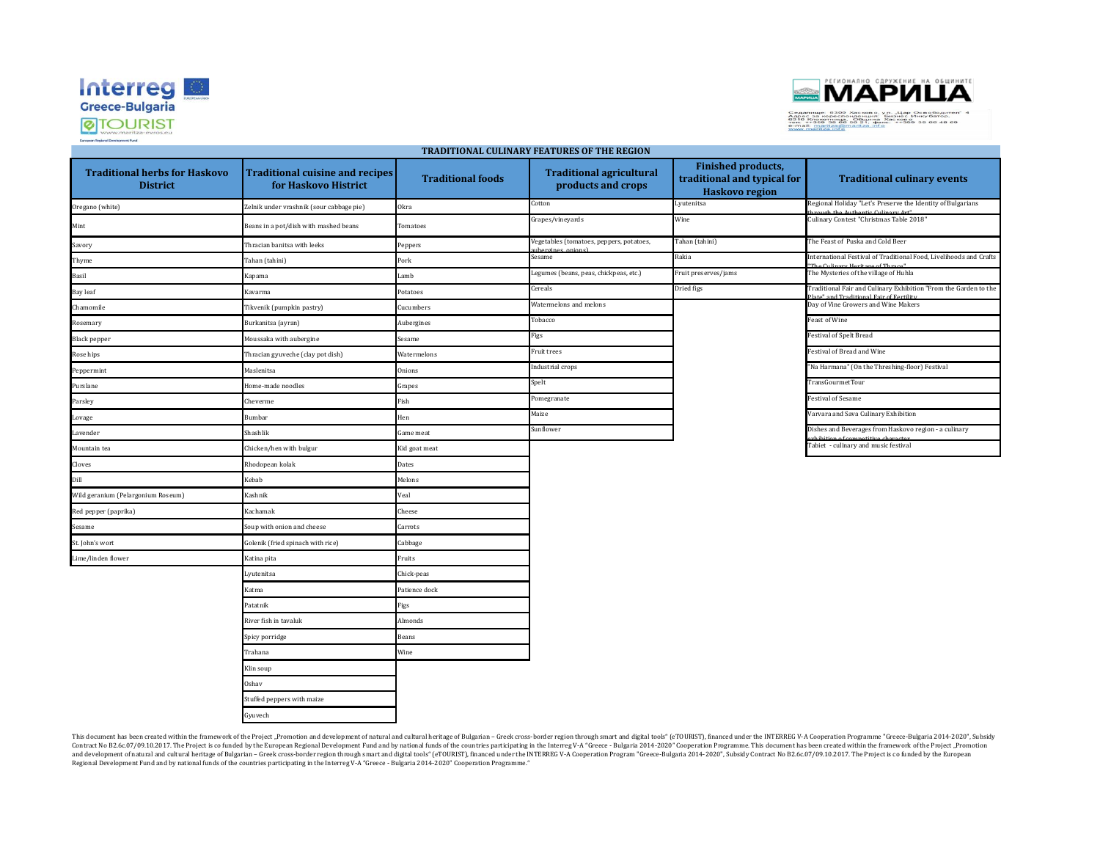



| <b>Traditional herbs for Haskovo</b><br><b>District</b> | <b>Traditional cuisine and recipes</b><br>for Haskovo Histrict | <b>Traditional foods</b> | <b>Traditional agricultural</b><br>products and crops | <b>Finished products,</b><br>traditional and typical for<br><b>Haskovo region</b> | <b>Traditional culinary events</b>                                                                          |  |  |
|---------------------------------------------------------|----------------------------------------------------------------|--------------------------|-------------------------------------------------------|-----------------------------------------------------------------------------------|-------------------------------------------------------------------------------------------------------------|--|--|
| Oregano (white)                                         | Zelnik under vrashnik (sour cabbage pie)                       | Okra                     | Cotton                                                | Lyutenitsa                                                                        | Regional Holiday "Let's Preserve the Identity of Bulgarians                                                 |  |  |
| Mint                                                    | Beans in a pot/dish with mashed beans                          | Tomatoes                 | Grapes/vineyards                                      | Wine                                                                              | Culinary Contest "Christmas Table 2018"                                                                     |  |  |
| Savory                                                  | Thracian banitsa with leeks                                    | Peppers                  | Vegetables (tomatoes, peppers, potatoes,              | Tahan (tahini)                                                                    | The Feast of Puska and Cold Beer                                                                            |  |  |
| Thyme                                                   | Tahan (tahini)                                                 | Pork                     | Sesame                                                | Rakia                                                                             | International Festival of Traditional Food, Livelihoods and Crafts                                          |  |  |
| Basil                                                   | Kapama                                                         | Lamb                     | egumes (beans, peas, chickpeas, etc.)                 | Fruit preserves/jams                                                              | The Mysteries of the village of Huhla                                                                       |  |  |
| Bay leaf                                                | Kavarma                                                        | Potatoes                 | Cereals                                               | Dried figs                                                                        | Traditional Fair and Culinary Exhibition "From the Garden to the<br>late" and Traditional Fair of Fertility |  |  |
| Chamomile                                               | Tikvenik (pumpkin pastry)                                      | Cucumbers                | Watermelons and melons                                |                                                                                   | Day of Vine Growers and Wine Makers                                                                         |  |  |
| Rosemary                                                | Burkanitsa (ayran)                                             | Aubergines               | Tobacco                                               |                                                                                   | <b>Feast of Wine</b>                                                                                        |  |  |
| <b>Black pepper</b>                                     | Moussaka with aubergine                                        | Sesame                   | Figs                                                  |                                                                                   | Festival of Spelt Bread                                                                                     |  |  |
| Rose hips                                               | Thracian gyuveche (clay pot dish)                              | Watermelons              | Fruit trees                                           |                                                                                   | Festival of Bread and Wine                                                                                  |  |  |
| Peppermint                                              | Maslenitsa                                                     | <b>Onions</b>            | Industrial crops                                      |                                                                                   | "Na Harmana" (On the Threshing-floor) Festival                                                              |  |  |
| Purslane                                                | Home-made noodles                                              | Grapes                   | Spelt                                                 |                                                                                   | TransGourmetTour                                                                                            |  |  |
| Parsley                                                 | Cheverme                                                       | Fish                     | Pomegranate                                           |                                                                                   | <b>Festival of Sesame</b>                                                                                   |  |  |
| Lovage                                                  | <b>Bumbar</b>                                                  | Hen                      | Maize                                                 |                                                                                   | Varvara and Sava Culinary Exhibition                                                                        |  |  |
| Lavender                                                | <b>Shashlik</b>                                                | Game meat                | Sunflower                                             |                                                                                   | Dishes and Beverages from Haskovo region - a culinary                                                       |  |  |
| Mountain tea                                            | Chicken/hen with bulgur                                        | Kid goat meat            |                                                       |                                                                                   | Tabiet - culinary and music festival                                                                        |  |  |
| Cloves                                                  | Rhodopean kolak                                                | Dates                    |                                                       |                                                                                   |                                                                                                             |  |  |
| Dill                                                    | Kebab                                                          | Melons                   |                                                       |                                                                                   |                                                                                                             |  |  |
| Wild geranium (Pelargonium Roseum)                      | Kashnik                                                        | Veal                     |                                                       |                                                                                   |                                                                                                             |  |  |
| Red pepper (paprika)                                    | Kachamak                                                       | Cheese                   |                                                       |                                                                                   |                                                                                                             |  |  |
| Sesame                                                  | Soup with onion and cheese                                     | Carrots                  |                                                       |                                                                                   |                                                                                                             |  |  |
| St. John's wort                                         | Golenik (fried spinach with rice)                              | Cabbage                  |                                                       |                                                                                   |                                                                                                             |  |  |
| Lime/linden flower                                      | Katina pita                                                    | Fruits                   |                                                       |                                                                                   |                                                                                                             |  |  |
|                                                         | Lyutenitsa                                                     | Chick-peas               |                                                       |                                                                                   |                                                                                                             |  |  |
|                                                         | Katma                                                          | Patience dock            |                                                       |                                                                                   |                                                                                                             |  |  |
|                                                         | Patatnik                                                       | Figs                     |                                                       |                                                                                   |                                                                                                             |  |  |
|                                                         | River fish in tavaluk                                          | Almonds                  |                                                       |                                                                                   |                                                                                                             |  |  |
|                                                         | Spicy porridge                                                 | <b>Beans</b>             |                                                       |                                                                                   |                                                                                                             |  |  |
|                                                         | Trahana                                                        | Wine                     |                                                       |                                                                                   |                                                                                                             |  |  |
|                                                         | Klin soup                                                      |                          |                                                       |                                                                                   |                                                                                                             |  |  |
|                                                         | Oshav                                                          |                          |                                                       |                                                                                   |                                                                                                             |  |  |
|                                                         | Stuffed peppers with maize                                     |                          |                                                       |                                                                                   |                                                                                                             |  |  |
|                                                         | Gyuvech                                                        |                          |                                                       |                                                                                   |                                                                                                             |  |  |

**TRADITIONAL CULINARY FEATURES OF THE REGION**

This document has been created within the framework of the Project "Promotion and development of natural and cultural heritage of Bulgarian - Greek cross-border region through smart and digital tools" (eTOURIST), financed Contract No B2.6c.07/09.10.2017. The Project is co funded by the European Regional Development Fund and by national funds of the countries participating in the Interreg V-A "Greece- Bulgaria 2014-2020" Cooperation Programm Regional Development Fund and by national funds of the countries participating in the Interreg V-A "Greece - Bulgaria 2014-2020" Cooperation Programme."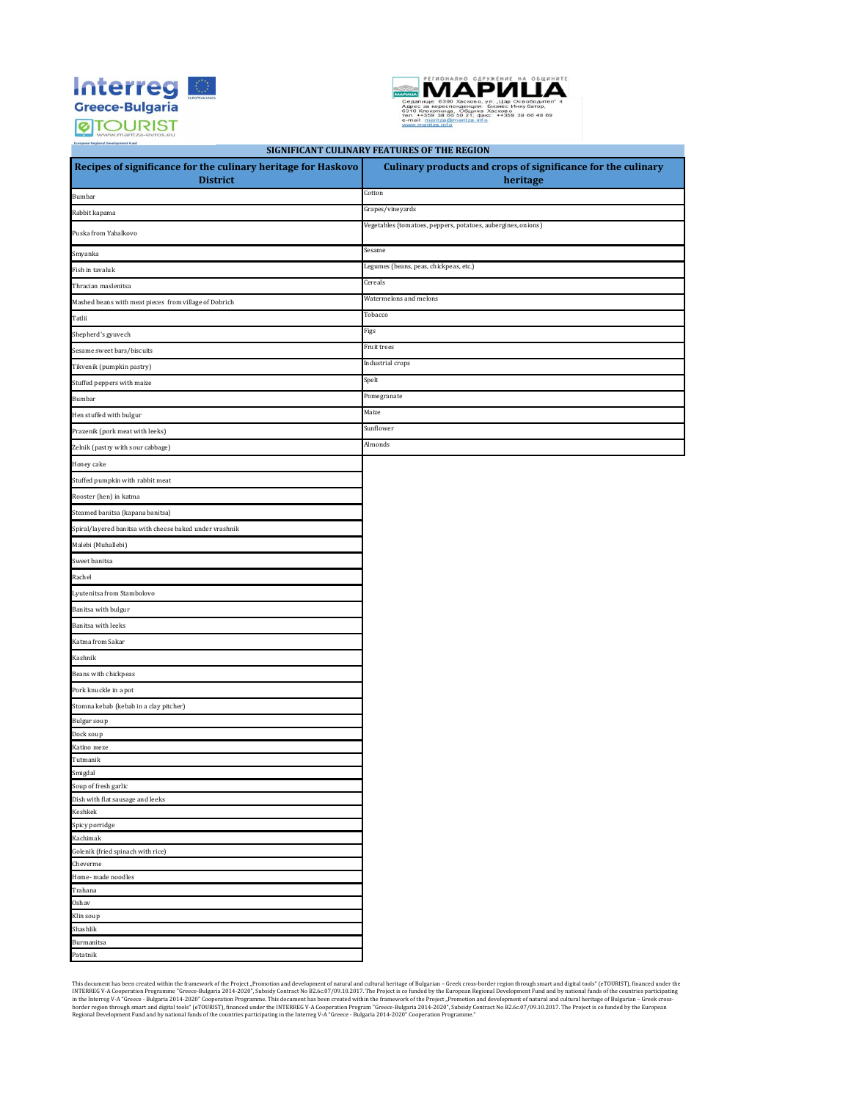



**Recipes of significance for the culinary heritage for Haskovo District Culinary products and crops of significance for the culinary heritage**  Bumbar Cotton Controller and the Cotton Cotton Cotton Cotton Cotton Cotton Cotton Cotton Cotton Cotton Cotton Co Rabbit kapama Grapes/vineyards Grapes/vineyards Puska from Yabalkovo Vegetables (tomatoes, peppers, potatoes, aubergines, onions) Smyanka Sesame Fish in tavaluk Legumes (beans, peas, chickpeas, etc.) Thracian maslenitsa Cereals Mashed beans with meat pieces from village of Dobrich Watermelons and melons Tatlii Tobacco Shepherd's gyuvech **Figs** Sesame sweet bars/biscuits Fruit trees Tikvenik (pumpkin pastry) Industrial crops  $S(\mathbf{p}) = \mathbf{S}(\mathbf{p})$  Stuffed peppers with maize Bumbar Pomegranate Hen stuffed with bulgur Maize Prazenik (pork meat with leeks) Sunflower Sunflower Sunflower Zelnik (pastry with sour cabbage) Almonds Honey cake Stuffed pumpkin with rabbit meat Rooster (hen) in katma Steamed banitsa (kapana banitsa) Spiral/layered banitsa with cheese baked under vrashnik Malebi (Muhallebi) Sweet banitsa Rachel Lyutenitsa from Stambolovo Banitsa with bulgur Banitsa with leeks Katma from Sakar Kashnik Beans with chickpeas Pork knuckle in a pot Stomna kebab (kebab in a clay pitcher) Bulgur soup Dock soup Katino mez Tutmanik Smigdal Soup of fresh garlic Dish with flat sausage and leeks Keshkek Spicy porridge Kachimak Golenik (fried spinach with rice) Cheverme Home- made noodles Trahana Oshav Klin sou Shashlik Burmanitsa Patatnik **SIGNIFICANT CULINARY FEATURES OF THE REGION**

This document has been created within the framework of the Project, Promotion and development create-Bulgarial - Greec-Bulgaria 2014-2020", Subsidy Contract No B2.6c07/09.10.2017. The Project is co funded by the European R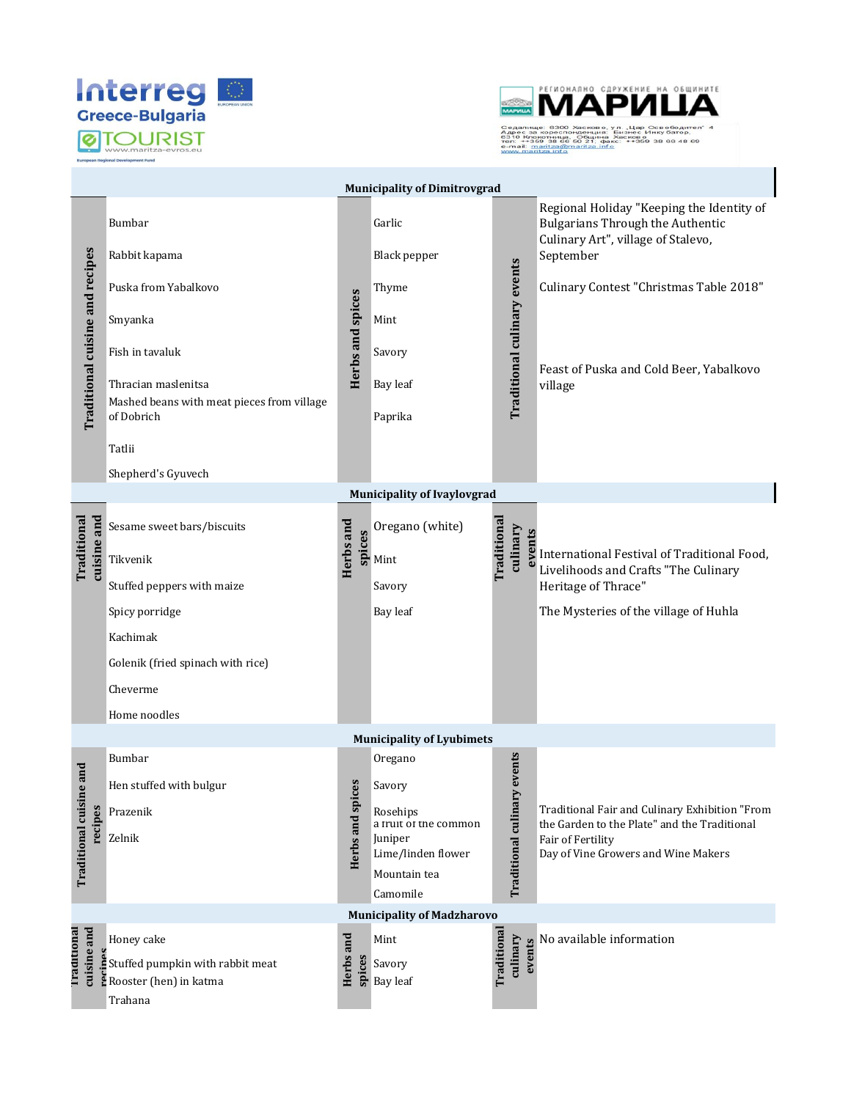



|                                              |                                                                                                                                                                                                  |                      | <b>Municipality of Dimitrovgrad</b>                                                                                 |                   |                                |                                                                                                                                                                                                                                          |  |  |  |  |
|----------------------------------------------|--------------------------------------------------------------------------------------------------------------------------------------------------------------------------------------------------|----------------------|---------------------------------------------------------------------------------------------------------------------|-------------------|--------------------------------|------------------------------------------------------------------------------------------------------------------------------------------------------------------------------------------------------------------------------------------|--|--|--|--|
| <b>Traditional cuisine and recipes</b>       | Bumbar<br>Rabbit kapama<br>Puska from Yabalkovo<br>Smyanka<br>Fish in tavaluk<br>Thracian maslenitsa<br>Mashed beans with meat pieces from village<br>of Dobrich<br>Tatlii<br>Shepherd's Gyuvech | Herbs and spices     | Garlic<br>Black pepper<br>Thyme<br>Mint<br>Savory<br>Bay leaf<br>Paprika                                            |                   | Traditional culinary events    | Regional Holiday "Keeping the Identity of<br><b>Bulgarians Through the Authentic</b><br>Culinary Art", village of Stalevo,<br>September<br>Culinary Contest "Christmas Table 2018"<br>Feast of Puska and Cold Beer, Yabalkovo<br>village |  |  |  |  |
| <b>Municipality of Ivaylovgrad</b>           |                                                                                                                                                                                                  |                      |                                                                                                                     |                   |                                |                                                                                                                                                                                                                                          |  |  |  |  |
| cuisine and<br>Traditional                   | Sesame sweet bars/biscuits<br>Tikvenik<br>Stuffed peppers with maize<br>Spicy porridge<br>Kachimak<br>Golenik (fried spinach with rice)<br>Cheverme<br>Home noodles                              | Herbs and<br>spices  | Oregano (white)<br>Mint<br>Savory<br><b>Bay leaf</b>                                                                | <b>Traditiona</b> | culinary<br>events             | International Festival of Traditional Food,<br>Livelihoods and Crafts "The Culinary<br>Heritage of Thrace"<br>The Mysteries of the village of Huhla                                                                                      |  |  |  |  |
|                                              |                                                                                                                                                                                                  |                      | <b>Municipality of Lyubimets</b>                                                                                    |                   |                                |                                                                                                                                                                                                                                          |  |  |  |  |
| and<br><b>Traditional cuisine</b><br>recipes | Bumbar<br>Hen stuffed with bulgur<br>Prazenik<br>Zelnik                                                                                                                                          | ە<br>Herbs and spice | Oregano<br>Savory<br>Rosehips<br>a truit of the common<br>Juniper<br>Lime/linden flower<br>Mountain tea<br>Camomile |                   | events<br>Traditional culinary | Traditional Fair and Culinary Exhibition "From<br>the Garden to the Plate" and the Traditional<br>Fair of Fertility<br>Day of Vine Growers and Wine Makers                                                                               |  |  |  |  |
|                                              |                                                                                                                                                                                                  |                      | <b>Municipality of Madzharovo</b>                                                                                   |                   |                                |                                                                                                                                                                                                                                          |  |  |  |  |
| cuisine and<br>Traditional                   | Honey cake<br>č<br>Stuffed pumpkin with rabbit meat<br>Rooster (hen) in katma<br>Trahana                                                                                                         | Herbs and<br>spices  | Mint<br>Savory<br><b>Bay leaf</b>                                                                                   | Traditiona        | culinary<br>events             | No available information                                                                                                                                                                                                                 |  |  |  |  |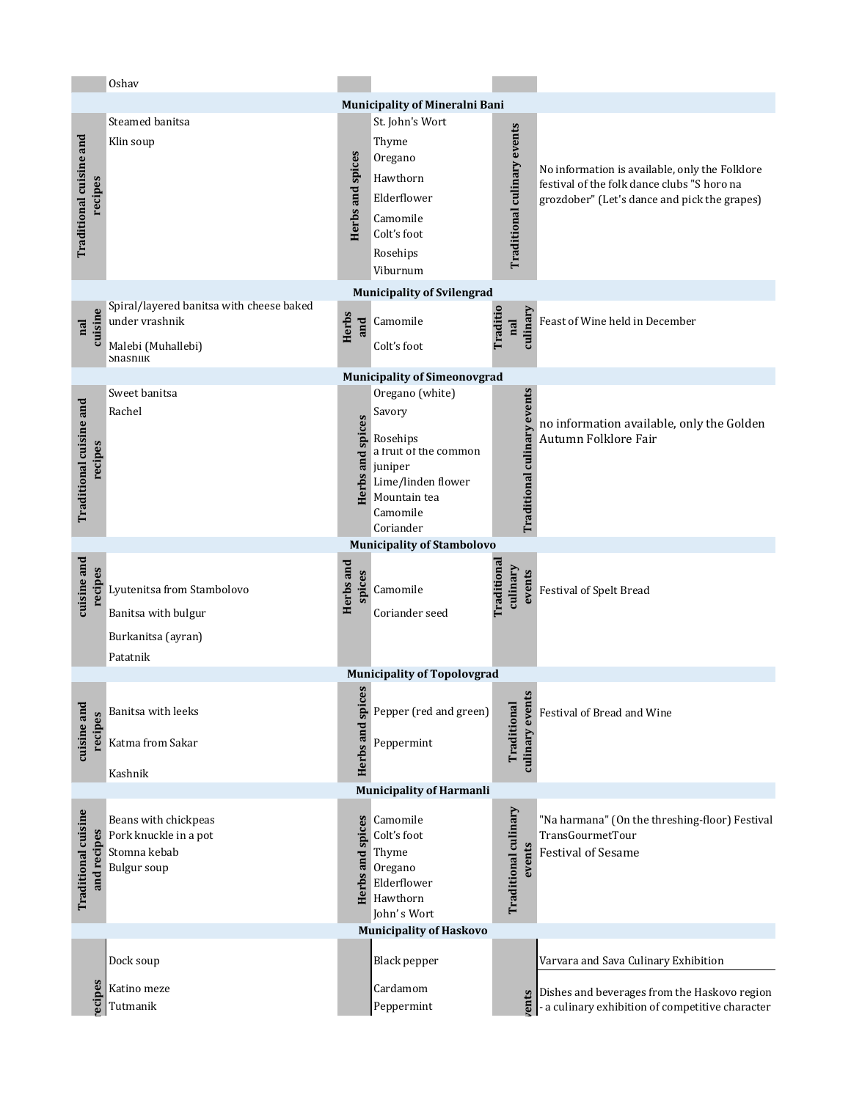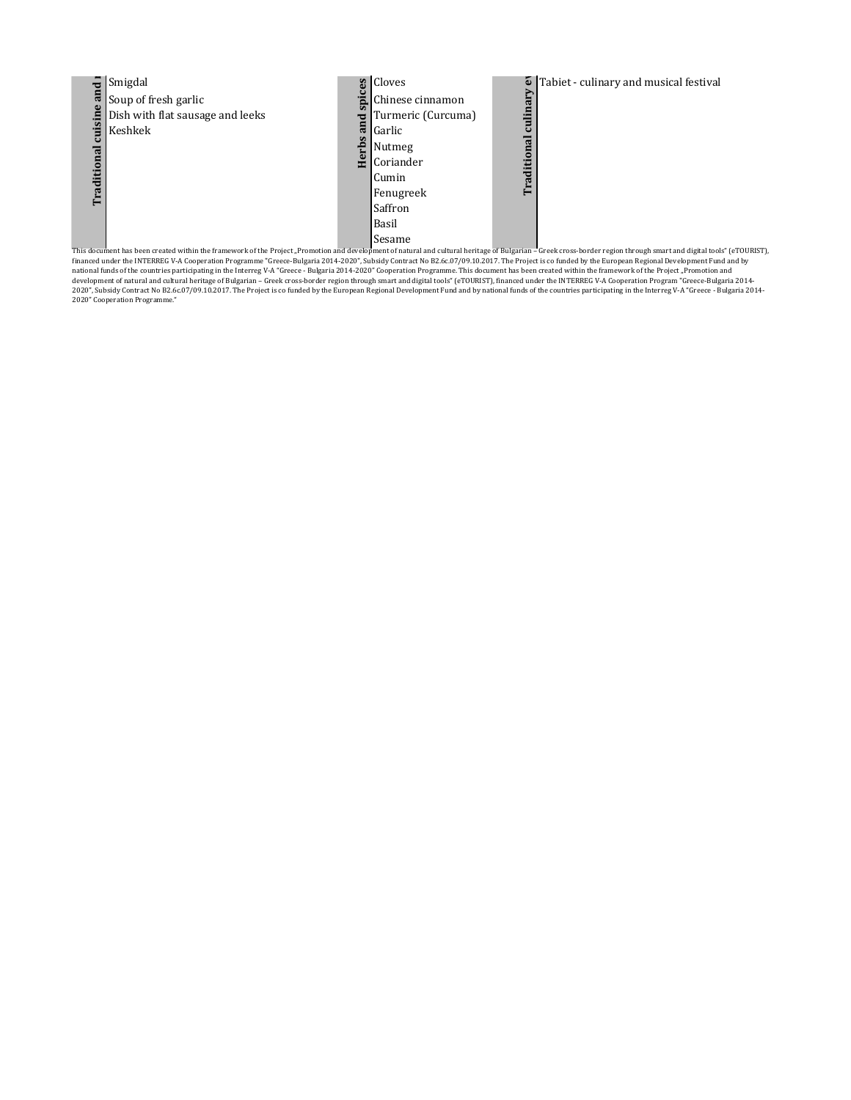

This document has been created within the framework of the Project "Promotion and development of natural and cultural heritage of Bulgarian – Greek cross-border region through smart and digital tools" (eTOURIST),<br>financed 2020" Cooperation Programme."